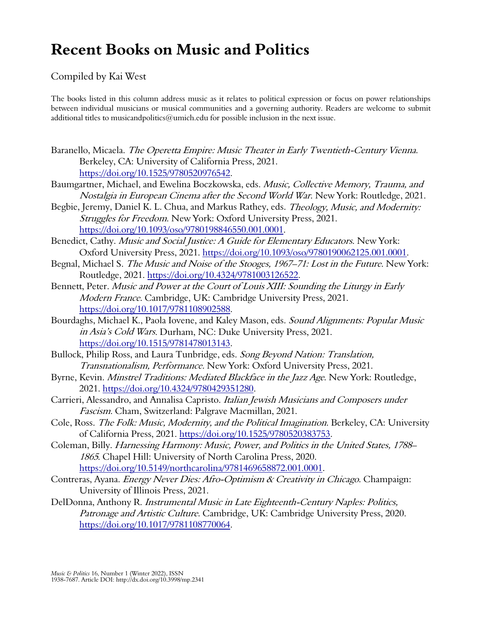## **Recent Books on Music and Politics**

## Compiled by Kai West

The books listed in this column address music as it relates to political expression or focus on power relationships between individual musicians or musical communities and a governing authority. Readers are welcome to submit additional titles to musicandpolitics@umich.edu for possible inclusion in the next issue.

- Baranello, Micaela. The Operetta Empire: Music Theater in Early Twentieth-Century Vienna. Berkeley, CA: University of California Press, 2021. https://doi.org/10.1525/9780520976542.
- Baumgartner, Michael, and Ewelina Boczkowska, eds. Music, Collective Memory, Trauma, and Nostalgia in European Cinema after the Second World War. New York: Routledge, 2021.
- Begbie, Jeremy, Daniel K. L. Chua, and Markus Rathey, eds. *Theology, Music, and Modernity:* Struggles for Freedom. New York: Oxford University Press, 2021. https://doi.org/10.1093/oso/9780198846550.001.0001.
- Benedict, Cathy. Music and Social Justice: A Guide for Elementary Educators. New York: Oxford University Press, 2021. https://doi.org/10.1093/oso/9780190062125.001.0001.
- Begnal, Michael S. The Music and Noise of the Stooges, 1967–71: Lost in the Future. New York: Routledge, 2021. https://doi.org/10.4324/9781003126522.
- Bennett, Peter. Music and Power at the Court of Louis XIII: Sounding the Liturgy in Early Modern France. Cambridge, UK: Cambridge University Press, 2021. https://doi.org/10.1017/9781108902588.
- Bourdaghs, Michael K., Paola Iovene, and Kaley Mason, eds. Sound Alignments: Popular Music in Asia's Cold Wars. Durham, NC: Duke University Press, 2021. https://doi.org/10.1515/9781478013143.
- Bullock, Philip Ross, and Laura Tunbridge, eds. Song Beyond Nation: Translation, Transnationalism, Performance. New York: Oxford University Press, 2021.
- Byrne, Kevin. Minstrel Traditions: Mediated Blackface in the Jazz Age. New York: Routledge, 2021. https://doi.org/10.4324/9780429351280.
- Carrieri, Alessandro, and Annalisa Capristo. Italian Jewish Musicians and Composers under Fascism. Cham, Switzerland: Palgrave Macmillan, 2021.
- Cole, Ross. The Folk: Music, Modernity, and the Political Imagination. Berkeley, CA: University of California Press, 2021. https://doi.org/10.1525/9780520383753.
- Coleman, Billy. Harnessing Harmony: Music, Power, and Politics in the United States, 1788– 1865. Chapel Hill: University of North Carolina Press, 2020. https://doi.org/10.5149/northcarolina/9781469658872.001.0001.
- Contreras, Ayana. Energy Never Dies: Afro-Optimism & Creativity in Chicago. Champaign: University of Illinois Press, 2021.
- DelDonna, Anthony R. Instrumental Music in Late Eighteenth-Century Naples: Politics, Patronage and Artistic Culture. Cambridge, UK: Cambridge University Press, 2020. https://doi.org/10.1017/9781108770064.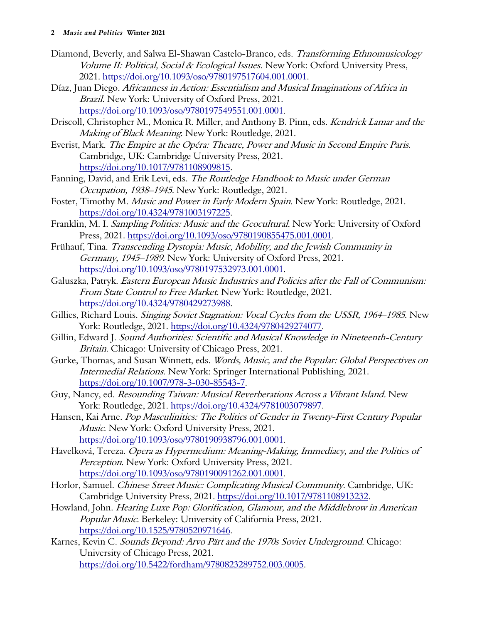- Diamond, Beverly, and Salwa El-Shawan Castelo-Branco, eds. Transforming Ethnomusicology Volume II: Political, Social & Ecological Issues. New York: Oxford University Press, 2021. https://doi.org/10.1093/oso/9780197517604.001.0001.
- Díaz, Juan Diego. Africanness in Action: Essentialism and Musical Imaginations of Africa in Brazil. New York: University of Oxford Press, 2021. https://doi.org/10.1093/oso/9780197549551.001.0001.
- Driscoll, Christopher M., Monica R. Miller, and Anthony B. Pinn, eds. Kendrick Lamar and the Making of Black Meaning. New York: Routledge, 2021.
- Everist, Mark. The Empire at the Opéra: Theatre, Power and Music in Second Empire Paris. Cambridge, UK: Cambridge University Press, 2021. https://doi.org/10.1017/9781108909815.
- Fanning, David, and Erik Levi, eds. The Routledge Handbook to Music under German Occupation, 1938–1945. New York: Routledge, 2021.
- Foster, Timothy M. Music and Power in Early Modern Spain. New York: Routledge, 2021. https://doi.org/10.4324/9781003197225.
- Franklin, M. I. Sampling Politics: Music and the Geocultural. New York: University of Oxford Press, 2021. https://doi.org/10.1093/oso/9780190855475.001.0001.
- Frühauf, Tina. Transcending Dystopia: Music, Mobility, and the Jewish Community in Germany, 1945–1989. New York: University of Oxford Press, 2021. https://doi.org/10.1093/oso/9780197532973.001.0001.
- Galuszka, Patryk. Eastern European Music Industries and Policies after the Fall of Communism: From State Control to Free Market. New York: Routledge, 2021. https://doi.org/10.4324/9780429273988.
- Gillies, Richard Louis. Singing Soviet Stagnation: Vocal Cycles from the USSR, 1964-1985. New York: Routledge, 2021. https://doi.org/10.4324/9780429274077.
- Gillin, Edward J. Sound Authorities: Scientific and Musical Knowledge in Nineteenth-Century Britain. Chicago: University of Chicago Press, 2021.
- Gurke, Thomas, and Susan Winnett, eds. Words, Music, and the Popular: Global Perspectives on Intermedial Relations. New York: Springer International Publishing, 2021. https://doi.org/10.1007/978-3-030-85543-7.
- Guy, Nancy, ed. Resounding Taiwan: Musical Reverberations Across a Vibrant Island. New York: Routledge, 2021. https://doi.org/10.4324/9781003079897.
- Hansen, Kai Arne. Pop Masculinities: The Politics of Gender in Twenty-First Century Popular Music. New York: Oxford University Press, 2021. https://doi.org/10.1093/oso/9780190938796.001.0001.
- Havelková, Tereza. Opera as Hypermedium: Meaning-Making, Immediacy, and the Politics of Perception. New York: Oxford University Press, 2021. https://doi.org/10.1093/oso/9780190091262.001.0001.
- Horlor, Samuel. Chinese Street Music: Complicating Musical Community. Cambridge, UK: Cambridge University Press, 2021. https://doi.org/10.1017/9781108913232.
- Howland, John. Hearing Luxe Pop: Glorification, Glamour, and the Middlebrow in American Popular Music. Berkeley: University of California Press, 2021. https://doi.org/10.1525/9780520971646.
- Karnes, Kevin C. Sounds Beyond: Arvo Pärt and the 1970s Soviet Underground. Chicago: University of Chicago Press, 2021. https://doi.org/10.5422/fordham/9780823289752.003.0005.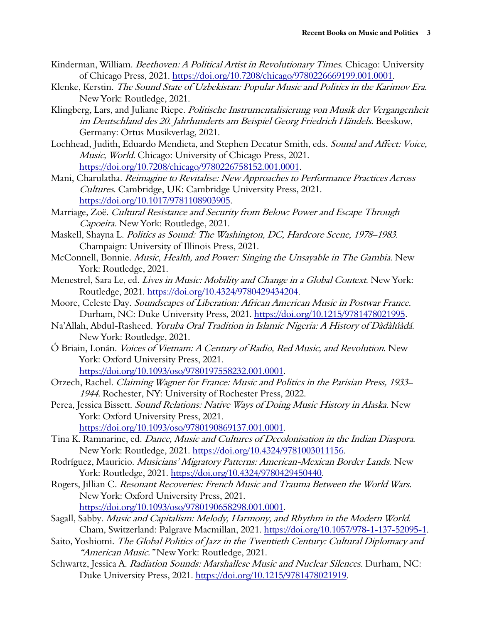- Kinderman, William. Beethoven: A Political Artist in Revolutionary Times. Chicago: University of Chicago Press, 2021. https://doi.org/10.7208/chicago/9780226669199.001.0001.
- Klenke, Kerstin. The Sound State of Uzbekistan: Popular Music and Politics in the Karimov Era. New York: Routledge, 2021.
- Klingberg, Lars, and Juliane Riepe. Politische Instrumentalisierung von Musik der Vergangenheit im Deutschland des 20. Jahrhunderts am Beispiel Georg Friedrich Händels. Beeskow, Germany: Ortus Musikverlag, 2021.
- Lochhead, Judith, Eduardo Mendieta, and Stephen Decatur Smith, eds. Sound and Affect: Voice, Music, World. Chicago: University of Chicago Press, 2021. https://doi.org/10.7208/chicago/9780226758152.001.0001.
- Mani, Charulatha. Reimagine to Revitalise: New Approaches to Performance Practices Across Cultures. Cambridge, UK: Cambridge University Press, 2021. https://doi.org/10.1017/9781108903905.
- Marriage, Zoë. Cultural Resistance and Security from Below: Power and Escape Through Capoeira. New York: Routledge, 2021.
- Maskell, Shayna L. Politics as Sound: The Washington, DC, Hardcore Scene, 1978–1983. Champaign: University of Illinois Press, 2021.
- McConnell, Bonnie. Music, Health, and Power: Singing the Unsayable in The Gambia. New York: Routledge, 2021.
- Menestrel, Sara Le, ed. Lives in Music: Mobility and Change in a Global Context. New York: Routledge, 2021. https://doi.org/10.4324/9780429434204.
- Moore, Celeste Day. Soundscapes of Liberation: African American Music in Postwar France. Durham, NC: Duke University Press, 2021. https://doi.org/10.1215/9781478021995.
- Na'Allah, Abdul-Rasheed. Yoruba Oral Tradition in Islamic Nigeria: A History of Dàdàlúàdá. New York: Routledge, 2021.
- Ó Briain, Lonán. Voices of Vietnam: A Century of Radio, Red Music, and Revolution. New York: Oxford University Press, 2021. https://doi.org/10.1093/oso/9780197558232.001.0001.
- Orzech, Rachel. Claiming Wagner for France: Music and Politics in the Parisian Press, 1933– 1944. Rochester, NY: University of Rochester Press, 2022.
- Perea, Jessica Bissett. Sound Relations: Native Ways of Doing Music History in Alaska. New York: Oxford University Press, 2021. https://doi.org/10.1093/oso/9780190869137.001.0001.
- Tina K. Ramnarine, ed. Dance, Music and Cultures of Decolonisation in the Indian Diaspora. New York: Routledge, 2021. https://doi.org/10.4324/9781003011156.
- Rodríguez, Mauricio. *Musicians' Migratory Patterns: American-Mexican Border Lands*. New York: Routledge, 2021. https://doi.org/10.4324/9780429450440.
- Rogers, Jillian C. Resonant Recoveries: French Music and Trauma Between the World Wars. New York: Oxford University Press, 2021. https://doi.org/10.1093/oso/9780190658298.001.0001.
- Sagall, Sabby. Music and Capitalism: Melody, Harmony, and Rhythm in the Modern World. Cham, Switzerland: Palgrave Macmillan, 2021. https://doi.org/10.1057/978-1-137-52095-1.
- Saito, Yoshiomi. The Global Politics of Jazz in the Twentieth Century: Cultural Diplomacy and "American Music." New York: Routledge, 2021.
- Schwartz, Jessica A. Radiation Sounds: Marshallese Music and Nuclear Silences. Durham, NC: Duke University Press, 2021. https://doi.org/10.1215/9781478021919.